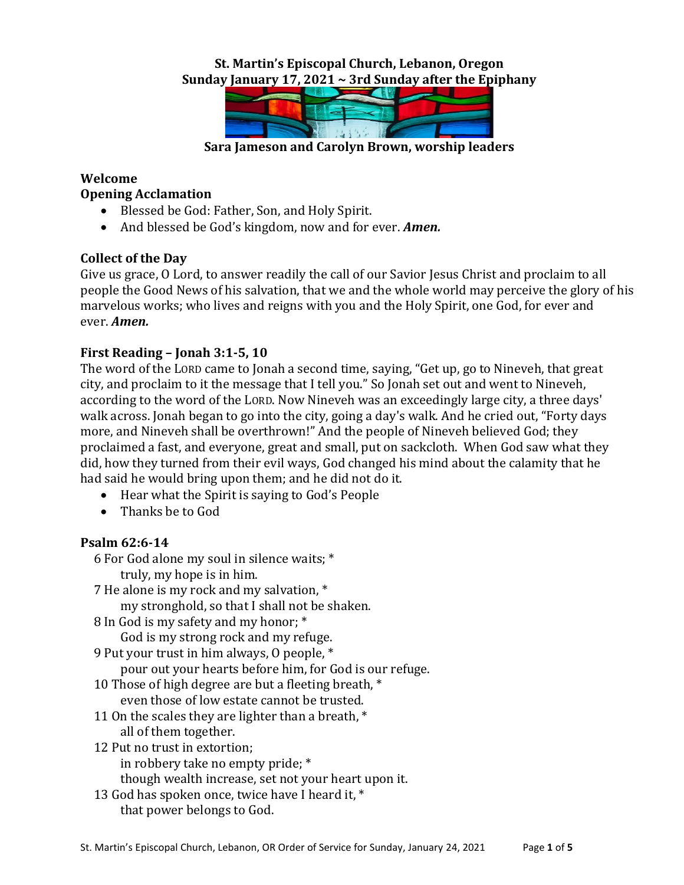## **St. Martin's Episcopal Church, Lebanon, Oregon Sunday January 17, 2021 ~ 3rd Sunday after the Epiphany**



**Sara Jameson and Carolyn Brown, worship leaders**

#### **Welcome Opening Acclamation**

- Blessed be God: Father, Son, and Holy Spirit.
- And blessed be God's kingdom, now and for ever. *Amen.*

# **Collect of the Day**

Give us grace, O Lord, to answer readily the call of our Savior Jesus Christ and proclaim to all people the Good News of his salvation, that we and the whole world may perceive the glory of his marvelous works; who lives and reigns with you and the Holy Spirit, one God, for ever and ever. *Amen.*

# **First Reading – Jonah 3:1-5, 10**

The word of the LORD came to Jonah a second time, saying, "Get up, go to Nineveh, that great city, and proclaim to it the message that I tell you." So Jonah set out and went to Nineveh, according to the word of the LORD. Now Nineveh was an exceedingly large city, a three days' walk across. Jonah began to go into the city, going a day's walk. And he cried out, "Forty days more, and Nineveh shall be overthrown!" And the people of Nineveh believed God; they proclaimed a fast, and everyone, great and small, put on sackcloth. When God saw what they did, how they turned from their evil ways, God changed his mind about the calamity that he had said he would bring upon them; and he did not do it.

- Hear what the Spirit is saying to God's People
- Thanks be to God

### **Psalm 62:6-14**

- 6 For God alone my soul in silence waits; \* truly, my hope is in him.
- 7 He alone is my rock and my salvation, \* my stronghold, so that I shall not be shaken.
- 8 In God is my safety and my honor; \* God is my strong rock and my refuge.
- 9 Put your trust in him always, O people, \*
	- pour out your hearts before him, for God is our refuge.
- 10 Those of high degree are but a fleeting breath, \* even those of low estate cannot be trusted.
- 11 On the scales they are lighter than a breath,  $*$ all of them together.
- 12 Put no trust in extortion;
	- in robbery take no empty pride; \*
	- though wealth increase, set not your heart upon it.
- 13 God has spoken once, twice have I heard it, \* that power belongs to God.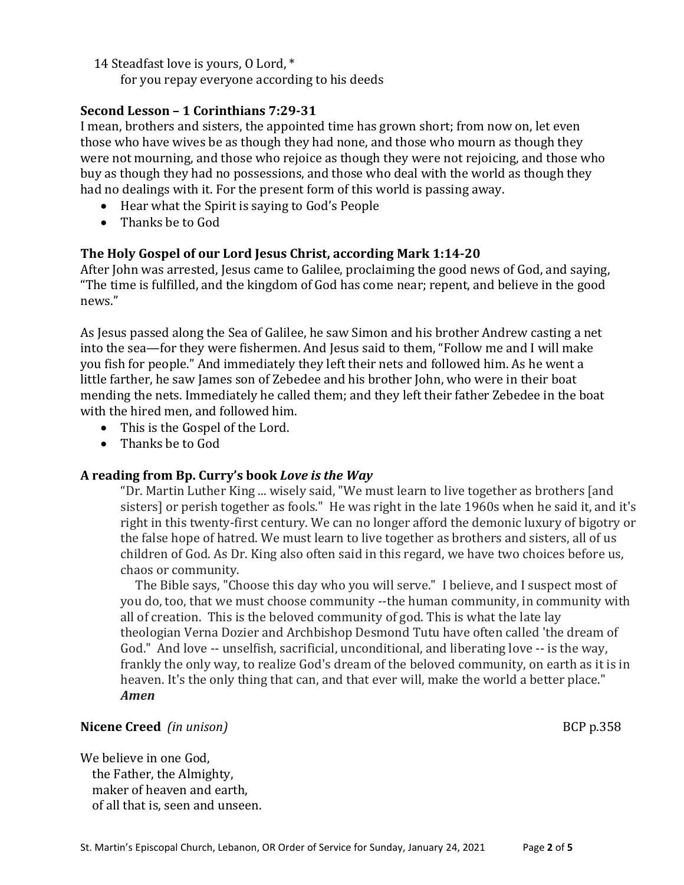14 Steadfast love is yours, O Lord, \*

for you repay everyone according to his deeds

### **Second Lesson – 1 Corinthians 7:29-31**

I mean, brothers and sisters, the appointed time has grown short; from now on, let even those who have wives be as though they had none, and those who mourn as though they were not mourning, and those who rejoice as though they were not rejoicing, and those who buy as though they had no possessions, and those who deal with the world as though they had no dealings with it. For the present form of this world is passing away.

- Hear what the Spirit is saying to God's People
- Thanks be to God

### **The Holy Gospel of our Lord Jesus Christ, according Mark 1:14-20**

After John was arrested, Jesus came to Galilee, proclaiming the good news of God, and saying, "The time is fulfilled, and the kingdom of God has come near; repent, and believe in the good news."

As Jesus passed along the Sea of Galilee, he saw Simon and his brother Andrew casting a net into the sea—for they were fishermen. And Jesus said to them, "Follow me and I will make you fish for people." And immediately they left their nets and followed him. As he went a little farther, he saw James son of Zebedee and his brother John, who were in their boat mending the nets. Immediately he called them; and they left their father Zebedee in the boat with the hired men, and followed him.

- This is the Gospel of the Lord.
- Thanks be to God

#### **A reading from Bp. Curry's book** *Love is the Way*

"Dr. Martin Luther King ... wisely said, "We must learn to live together as brothers [and sisters] or perish together as fools." He was right in the late 1960s when he said it, and it's right in this twenty-first century. We can no longer afford the demonic luxury of bigotry or the false hope of hatred. We must learn to live together as brothers and sisters, all of us children of God. As Dr. King also often said in this regard, we have two choices before us, chaos or community.

The Bible says, "Choose this day who you will serve." I believe, and I suspect most of you do, too, that we must choose community --the human community, in community with all of creation. This is the beloved community of god. This is what the late lay theologian Verna Dozier and Archbishop Desmond Tutu have often called 'the dream of God." And love -- unselfish, sacrificial, unconditional, and liberating love -- is the way, frankly the only way, to realize God's dream of the beloved community, on earth as it is in heaven. It's the only thing that can, and that ever will, make the world a better place." *Amen*

#### **Nicene Creed** (in unison) BCP p.358

We believe in one God. the Father, the Almighty, maker of heaven and earth, of all that is, seen and unseen.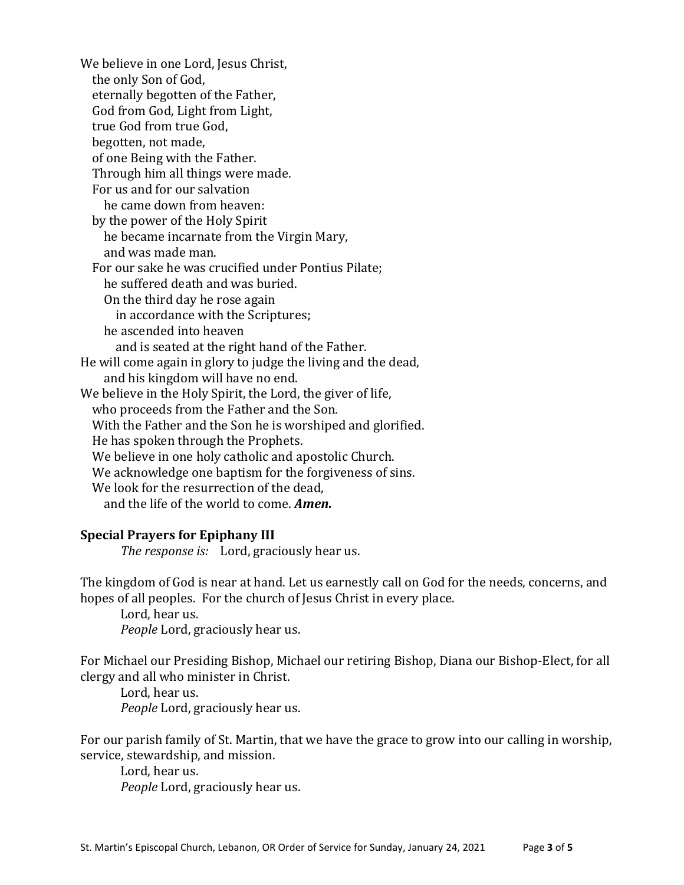We believe in one Lord, Jesus Christ, the only Son of God, eternally begotten of the Father, God from God, Light from Light, true God from true God, begotten, not made, of one Being with the Father. Through him all things were made. For us and for our salvation he came down from heaven: by the power of the Holy Spirit he became incarnate from the Virgin Mary, and was made man. For our sake he was crucified under Pontius Pilate; he suffered death and was buried. On the third day he rose again in accordance with the Scriptures; he ascended into heaven and is seated at the right hand of the Father. He will come again in glory to judge the living and the dead, and his kingdom will have no end. We believe in the Holy Spirit, the Lord, the giver of life, who proceeds from the Father and the Son. With the Father and the Son he is worshiped and glorified. He has spoken through the Prophets. We believe in one holy catholic and apostolic Church. We acknowledge one baptism for the forgiveness of sins. We look for the resurrection of the dead, and the life of the world to come. *Amen.*

#### **Special Prayers for Epiphany III**

*The response is:* Lord, graciously hear us.

The kingdom of God is near at hand. Let us earnestly call on God for the needs, concerns, and hopes of all peoples. For the church of Jesus Christ in every place.

Lord, hear us. *People* Lord, graciously hear us.

For Michael our Presiding Bishop, Michael our retiring Bishop, Diana our Bishop-Elect, for all clergy and all who minister in Christ.

Lord, hear us. *People* Lord, graciously hear us.

For our parish family of St. Martin, that we have the grace to grow into our calling in worship, service, stewardship, and mission.

Lord, hear us. *People* Lord, graciously hear us.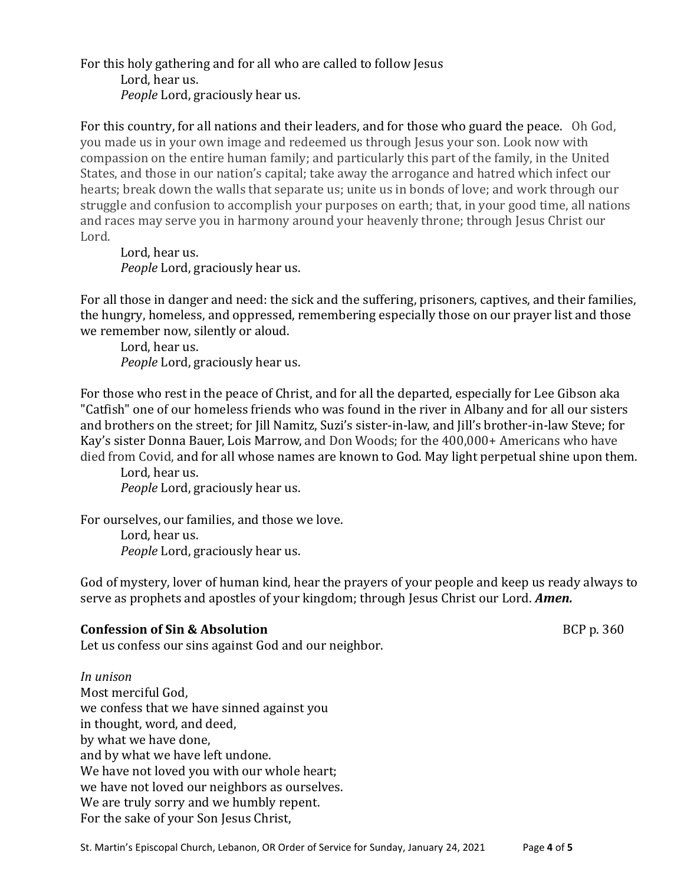For this holy gathering and for all who are called to follow Jesus Lord, hear us. *People* Lord, graciously hear us.

For this country, for all nations and their leaders, and for those who guard the peace. Oh God, you made us in your own image and redeemed us through Jesus your son. Look now with compassion on the entire human family; and particularly this part of the family, in the United States, and those in our nation's capital; take away the arrogance and hatred which infect our hearts; break down the walls that separate us; unite us in bonds of love; and work through our struggle and confusion to accomplish your purposes on earth; that, in your good time, all nations and races may serve you in harmony around your heavenly throne; through Jesus Christ our Lord.

Lord, hear us. *People* Lord, graciously hear us.

For all those in danger and need: the sick and the suffering, prisoners, captives, and their families, the hungry, homeless, and oppressed, remembering especially those on our prayer list and those we remember now, silently or aloud.

Lord, hear us. *People* Lord, graciously hear us.

For those who rest in the peace of Christ, and for all the departed, especially for Lee Gibson aka "Catfish" one of our homeless friends who was found in the river in Albany and for all our sisters and brothers on the street; for Jill Namitz, Suzi's sister-in-law, and Jill's brother-in-law Steve; for Kay's sister Donna Bauer, Lois Marrow, and Don Woods; for the 400,000+ Americans who have died from Covid, and for all whose names are known to God. May light perpetual shine upon them.

Lord, hear us. *People* Lord, graciously hear us.

For ourselves, our families, and those we love. Lord, hear us. *People* Lord, graciously hear us.

God of mystery, lover of human kind, hear the prayers of your people and keep us ready always to serve as prophets and apostles of your kingdom; through Jesus Christ our Lord. *Amen.*

# **Confession of Sin & Absolution BCP** p. 360

Let us confess our sins against God and our neighbor.

### *In unison*

Most merciful God, we confess that we have sinned against you in thought, word, and deed, by what we have done, and by what we have left undone. We have not loved you with our whole heart; we have not loved our neighbors as ourselves. We are truly sorry and we humbly repent. For the sake of your Son Jesus Christ,